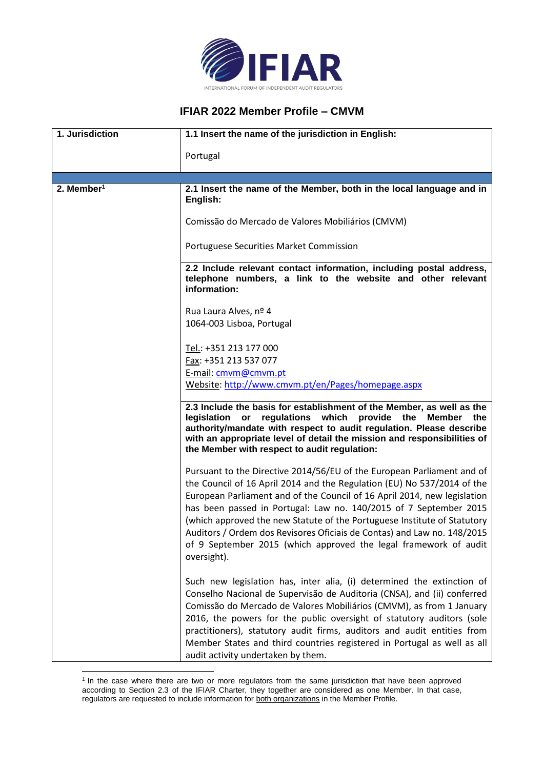

## **IFIAR 2022 Member Profile – CMVM**

| 1. Jurisdiction          | 1.1 Insert the name of the jurisdiction in English:                                                                                                                                                                                                                                                                                                                                                                                                                                                                                          |
|--------------------------|----------------------------------------------------------------------------------------------------------------------------------------------------------------------------------------------------------------------------------------------------------------------------------------------------------------------------------------------------------------------------------------------------------------------------------------------------------------------------------------------------------------------------------------------|
|                          | Portugal                                                                                                                                                                                                                                                                                                                                                                                                                                                                                                                                     |
| $2.$ Member <sup>1</sup> | 2.1 Insert the name of the Member, both in the local language and in                                                                                                                                                                                                                                                                                                                                                                                                                                                                         |
|                          | English:                                                                                                                                                                                                                                                                                                                                                                                                                                                                                                                                     |
|                          | Comissão do Mercado de Valores Mobiliários (CMVM)                                                                                                                                                                                                                                                                                                                                                                                                                                                                                            |
|                          | Portuguese Securities Market Commission                                                                                                                                                                                                                                                                                                                                                                                                                                                                                                      |
|                          | 2.2 Include relevant contact information, including postal address,<br>telephone numbers, a link to the website and other relevant<br>information:                                                                                                                                                                                                                                                                                                                                                                                           |
|                          | Rua Laura Alves, nº 4<br>1064-003 Lisboa, Portugal                                                                                                                                                                                                                                                                                                                                                                                                                                                                                           |
|                          | Tel.: +351 213 177 000                                                                                                                                                                                                                                                                                                                                                                                                                                                                                                                       |
|                          | Fax: +351 213 537 077                                                                                                                                                                                                                                                                                                                                                                                                                                                                                                                        |
|                          | E-mail: cmvm@cmvm.pt<br>Website: http://www.cmvm.pt/en/Pages/homepage.aspx                                                                                                                                                                                                                                                                                                                                                                                                                                                                   |
|                          | 2.3 Include the basis for establishment of the Member, as well as the<br>legislation or regulations which provide the<br>Member<br>the<br>authority/mandate with respect to audit regulation. Please describe<br>with an appropriate level of detail the mission and responsibilities of<br>the Member with respect to audit regulation:                                                                                                                                                                                                     |
|                          | Pursuant to the Directive 2014/56/EU of the European Parliament and of<br>the Council of 16 April 2014 and the Regulation (EU) No 537/2014 of the<br>European Parliament and of the Council of 16 April 2014, new legislation<br>has been passed in Portugal: Law no. 140/2015 of 7 September 2015<br>(which approved the new Statute of the Portuguese Institute of Statutory<br>Auditors / Ordem dos Revisores Oficiais de Contas) and Law no. 148/2015<br>of 9 September 2015 (which approved the legal framework of audit<br>oversight). |
|                          | Such new legislation has, inter alia, (i) determined the extinction of<br>Conselho Nacional de Supervisão de Auditoria (CNSA), and (ii) conferred<br>Comissão do Mercado de Valores Mobiliários (CMVM), as from 1 January<br>2016, the powers for the public oversight of statutory auditors (sole<br>practitioners), statutory audit firms, auditors and audit entities from<br>Member States and third countries registered in Portugal as well as all<br>audit activity undertaken by them.                                               |

<sup>&</sup>lt;sup>1</sup> In the case where there are two or more regulators from the same jurisdiction that have been approved according to Section 2.3 of the IFIAR Charter, they together are considered as one Member. In that case, regulators are requested to include information for both organizations in the Member Profile.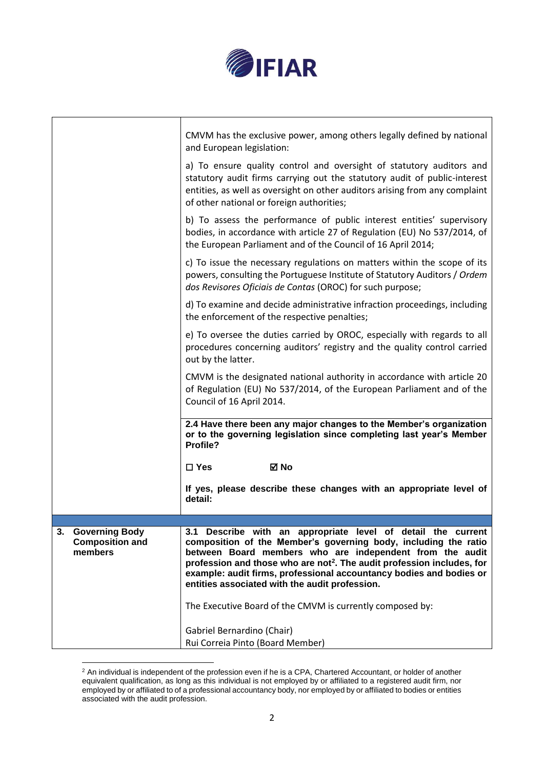

|                                                                  | Gabriel Bernardino (Chair)<br>Rui Correia Pinto (Board Member)                                                                                                                                                                                                                                                                                                                                                                                                          |
|------------------------------------------------------------------|-------------------------------------------------------------------------------------------------------------------------------------------------------------------------------------------------------------------------------------------------------------------------------------------------------------------------------------------------------------------------------------------------------------------------------------------------------------------------|
| 3.<br><b>Governing Body</b><br><b>Composition and</b><br>members | 3.1 Describe with an appropriate level of detail the current<br>composition of the Member's governing body, including the ratio<br>between Board members who are independent from the audit<br>profession and those who are not <sup>2</sup> . The audit profession includes, for<br>example: audit firms, professional accountancy bodies and bodies or<br>entities associated with the audit profession.<br>The Executive Board of the CMVM is currently composed by: |
|                                                                  | detail:                                                                                                                                                                                                                                                                                                                                                                                                                                                                 |
|                                                                  | If yes, please describe these changes with an appropriate level of                                                                                                                                                                                                                                                                                                                                                                                                      |
|                                                                  | $\Box$ Yes<br>⊠ No                                                                                                                                                                                                                                                                                                                                                                                                                                                      |
|                                                                  | 2.4 Have there been any major changes to the Member's organization<br>or to the governing legislation since completing last year's Member<br>Profile?                                                                                                                                                                                                                                                                                                                   |
|                                                                  | CMVM is the designated national authority in accordance with article 20<br>of Regulation (EU) No 537/2014, of the European Parliament and of the<br>Council of 16 April 2014.                                                                                                                                                                                                                                                                                           |
|                                                                  | e) To oversee the duties carried by OROC, especially with regards to all<br>procedures concerning auditors' registry and the quality control carried<br>out by the latter.                                                                                                                                                                                                                                                                                              |
|                                                                  | d) To examine and decide administrative infraction proceedings, including<br>the enforcement of the respective penalties;                                                                                                                                                                                                                                                                                                                                               |
|                                                                  | c) To issue the necessary regulations on matters within the scope of its<br>powers, consulting the Portuguese Institute of Statutory Auditors / Ordem<br>dos Revisores Oficiais de Contas (OROC) for such purpose;                                                                                                                                                                                                                                                      |
|                                                                  | b) To assess the performance of public interest entities' supervisory<br>bodies, in accordance with article 27 of Regulation (EU) No 537/2014, of<br>the European Parliament and of the Council of 16 April 2014;                                                                                                                                                                                                                                                       |
|                                                                  | a) To ensure quality control and oversight of statutory auditors and<br>statutory audit firms carrying out the statutory audit of public-interest<br>entities, as well as oversight on other auditors arising from any complaint<br>of other national or foreign authorities;                                                                                                                                                                                           |
|                                                                  | CMVM has the exclusive power, among others legally defined by national<br>and European legislation:                                                                                                                                                                                                                                                                                                                                                                     |
|                                                                  |                                                                                                                                                                                                                                                                                                                                                                                                                                                                         |

 $2$  An individual is independent of the profession even if he is a CPA, Chartered Accountant, or holder of another equivalent qualification, as long as this individual is not employed by or affiliated to a registered audit firm, nor employed by or affiliated to of a professional accountancy body, nor employed by or affiliated to bodies or entities associated with the audit profession.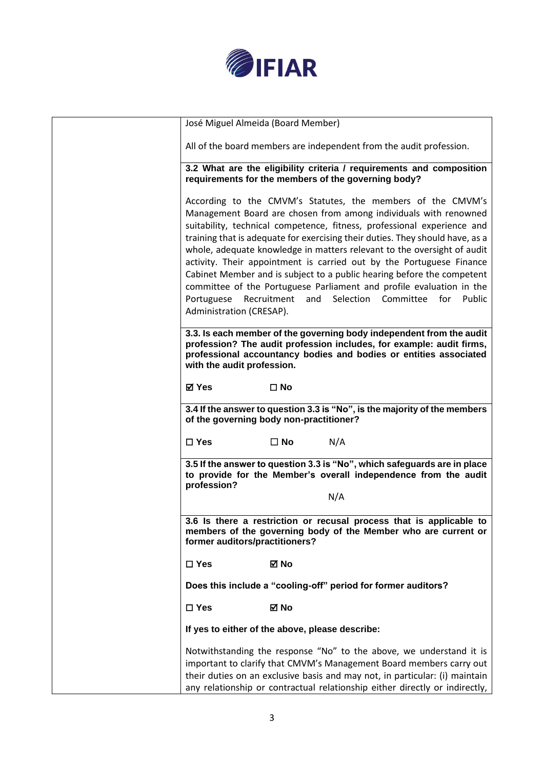

| José Miguel Almeida (Board Member)     |                                                                                                                                                                                                                                                                                                                                                                                                                                                                                                                                                                                                                                                                   |
|----------------------------------------|-------------------------------------------------------------------------------------------------------------------------------------------------------------------------------------------------------------------------------------------------------------------------------------------------------------------------------------------------------------------------------------------------------------------------------------------------------------------------------------------------------------------------------------------------------------------------------------------------------------------------------------------------------------------|
|                                        | All of the board members are independent from the audit profession.                                                                                                                                                                                                                                                                                                                                                                                                                                                                                                                                                                                               |
|                                        | 3.2 What are the eligibility criteria / requirements and composition<br>requirements for the members of the governing body?                                                                                                                                                                                                                                                                                                                                                                                                                                                                                                                                       |
| Portuguese<br>Administration (CRESAP). | According to the CMVM's Statutes, the members of the CMVM's<br>Management Board are chosen from among individuals with renowned<br>suitability, technical competence, fitness, professional experience and<br>training that is adequate for exercising their duties. They should have, as a<br>whole, adequate knowledge in matters relevant to the oversight of audit<br>activity. Their appointment is carried out by the Portuguese Finance<br>Cabinet Member and is subject to a public hearing before the competent<br>committee of the Portuguese Parliament and profile evaluation in the<br>Selection<br>Recruitment<br>and<br>Committee<br>for<br>Public |
| with the audit profession.             | 3.3. Is each member of the governing body independent from the audit<br>profession? The audit profession includes, for example: audit firms,<br>professional accountancy bodies and bodies or entities associated                                                                                                                                                                                                                                                                                                                                                                                                                                                 |
| <b>⊠</b> Yes                           | $\square$ No                                                                                                                                                                                                                                                                                                                                                                                                                                                                                                                                                                                                                                                      |
|                                        | 3.4 If the answer to question 3.3 is "No", is the majority of the members<br>of the governing body non-practitioner?                                                                                                                                                                                                                                                                                                                                                                                                                                                                                                                                              |
| $\square$ Yes                          | N/A<br>$\square$ No                                                                                                                                                                                                                                                                                                                                                                                                                                                                                                                                                                                                                                               |
| profession?                            | 3.5 If the answer to question 3.3 is "No", which safeguards are in place<br>to provide for the Member's overall independence from the audit                                                                                                                                                                                                                                                                                                                                                                                                                                                                                                                       |
|                                        | N/A                                                                                                                                                                                                                                                                                                                                                                                                                                                                                                                                                                                                                                                               |
| former auditors/practitioners?         | 3.6 Is there a restriction or recusal process that is applicable to<br>members of the governing body of the Member who are current or                                                                                                                                                                                                                                                                                                                                                                                                                                                                                                                             |
| $\Box$ Yes                             | ⊠ No                                                                                                                                                                                                                                                                                                                                                                                                                                                                                                                                                                                                                                                              |
|                                        | Does this include a "cooling-off" period for former auditors?                                                                                                                                                                                                                                                                                                                                                                                                                                                                                                                                                                                                     |
| $\square$ Yes                          | ⊠ No                                                                                                                                                                                                                                                                                                                                                                                                                                                                                                                                                                                                                                                              |
|                                        | If yes to either of the above, please describe:                                                                                                                                                                                                                                                                                                                                                                                                                                                                                                                                                                                                                   |
|                                        | Notwithstanding the response "No" to the above, we understand it is<br>important to clarify that CMVM's Management Board members carry out<br>their duties on an exclusive basis and may not, in particular: (i) maintain<br>any relationship or contractual relationship either directly or indirectly,                                                                                                                                                                                                                                                                                                                                                          |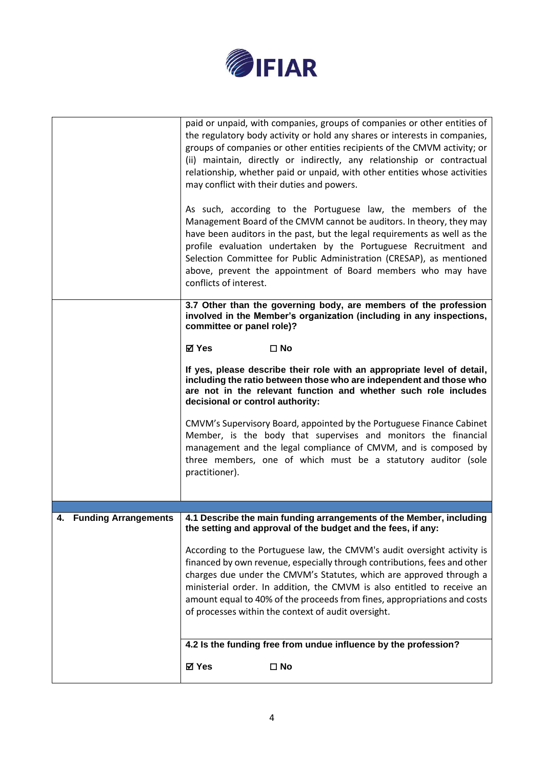

|                         | paid or unpaid, with companies, groups of companies or other entities of<br>the regulatory body activity or hold any shares or interests in companies,<br>groups of companies or other entities recipients of the CMVM activity; or<br>(ii) maintain, directly or indirectly, any relationship or contractual<br>relationship, whether paid or unpaid, with other entities whose activities<br>may conflict with their duties and powers.<br>As such, according to the Portuguese law, the members of the<br>Management Board of the CMVM cannot be auditors. In theory, they may<br>have been auditors in the past, but the legal requirements as well as the<br>profile evaluation undertaken by the Portuguese Recruitment and<br>Selection Committee for Public Administration (CRESAP), as mentioned<br>above, prevent the appointment of Board members who may have<br>conflicts of interest. |
|-------------------------|-----------------------------------------------------------------------------------------------------------------------------------------------------------------------------------------------------------------------------------------------------------------------------------------------------------------------------------------------------------------------------------------------------------------------------------------------------------------------------------------------------------------------------------------------------------------------------------------------------------------------------------------------------------------------------------------------------------------------------------------------------------------------------------------------------------------------------------------------------------------------------------------------------|
|                         | 3.7 Other than the governing body, are members of the profession<br>involved in the Member's organization (including in any inspections,<br>committee or panel role)?                                                                                                                                                                                                                                                                                                                                                                                                                                                                                                                                                                                                                                                                                                                               |
|                         | <b>⊠</b> Yes<br>$\square$ No                                                                                                                                                                                                                                                                                                                                                                                                                                                                                                                                                                                                                                                                                                                                                                                                                                                                        |
|                         | If yes, please describe their role with an appropriate level of detail,<br>including the ratio between those who are independent and those who<br>are not in the relevant function and whether such role includes<br>decisional or control authority:                                                                                                                                                                                                                                                                                                                                                                                                                                                                                                                                                                                                                                               |
|                         | CMVM's Supervisory Board, appointed by the Portuguese Finance Cabinet<br>Member, is the body that supervises and monitors the financial<br>management and the legal compliance of CMVM, and is composed by<br>three members, one of which must be a statutory auditor (sole<br>practitioner).                                                                                                                                                                                                                                                                                                                                                                                                                                                                                                                                                                                                       |
|                         |                                                                                                                                                                                                                                                                                                                                                                                                                                                                                                                                                                                                                                                                                                                                                                                                                                                                                                     |
| 4. Funding Arrangements | 4.1 Describe the main funding arrangements of the Member, including<br>the setting and approval of the budget and the fees, if any:                                                                                                                                                                                                                                                                                                                                                                                                                                                                                                                                                                                                                                                                                                                                                                 |
|                         | According to the Portuguese law, the CMVM's audit oversight activity is<br>financed by own revenue, especially through contributions, fees and other<br>charges due under the CMVM's Statutes, which are approved through a<br>ministerial order. In addition, the CMVM is also entitled to receive an<br>amount equal to 40% of the proceeds from fines, appropriations and costs<br>of processes within the context of audit oversight.                                                                                                                                                                                                                                                                                                                                                                                                                                                           |
|                         | 4.2 Is the funding free from undue influence by the profession?                                                                                                                                                                                                                                                                                                                                                                                                                                                                                                                                                                                                                                                                                                                                                                                                                                     |
|                         | <b>⊠</b> Yes<br>$\square$ No                                                                                                                                                                                                                                                                                                                                                                                                                                                                                                                                                                                                                                                                                                                                                                                                                                                                        |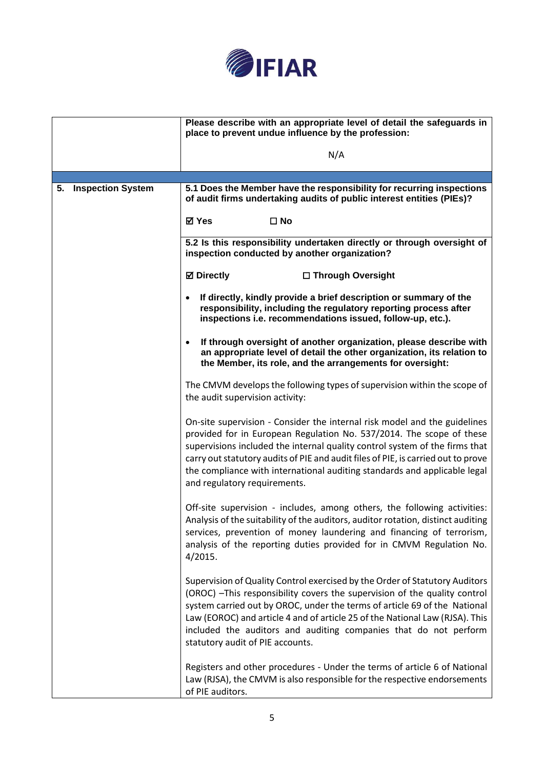

|                      | Please describe with an appropriate level of detail the safeguards in<br>place to prevent undue influence by the profession:                                                                                                                                                                                                                                                                                                       |
|----------------------|------------------------------------------------------------------------------------------------------------------------------------------------------------------------------------------------------------------------------------------------------------------------------------------------------------------------------------------------------------------------------------------------------------------------------------|
|                      | N/A                                                                                                                                                                                                                                                                                                                                                                                                                                |
|                      |                                                                                                                                                                                                                                                                                                                                                                                                                                    |
| 5. Inspection System | 5.1 Does the Member have the responsibility for recurring inspections<br>of audit firms undertaking audits of public interest entities (PIEs)?                                                                                                                                                                                                                                                                                     |
|                      | <b>⊠</b> Yes<br>$\square$ No                                                                                                                                                                                                                                                                                                                                                                                                       |
|                      | 5.2 Is this responsibility undertaken directly or through oversight of<br>inspection conducted by another organization?                                                                                                                                                                                                                                                                                                            |
|                      | <b>Ø</b> Directly<br>□ Through Oversight                                                                                                                                                                                                                                                                                                                                                                                           |
|                      | If directly, kindly provide a brief description or summary of the<br>responsibility, including the regulatory reporting process after<br>inspections i.e. recommendations issued, follow-up, etc.).                                                                                                                                                                                                                                |
|                      | If through oversight of another organization, please describe with<br>$\bullet$<br>an appropriate level of detail the other organization, its relation to<br>the Member, its role, and the arrangements for oversight:                                                                                                                                                                                                             |
|                      | The CMVM develops the following types of supervision within the scope of<br>the audit supervision activity:                                                                                                                                                                                                                                                                                                                        |
|                      | On-site supervision - Consider the internal risk model and the guidelines<br>provided for in European Regulation No. 537/2014. The scope of these<br>supervisions included the internal quality control system of the firms that<br>carry out statutory audits of PIE and audit files of PIE, is carried out to prove<br>the compliance with international auditing standards and applicable legal<br>and regulatory requirements. |
|                      | Off-site supervision - includes, among others, the following activities:<br>Analysis of the suitability of the auditors, auditor rotation, distinct auditing<br>services, prevention of money laundering and financing of terrorism,<br>analysis of the reporting duties provided for in CMVM Regulation No.<br>4/2015.                                                                                                            |
|                      | Supervision of Quality Control exercised by the Order of Statutory Auditors<br>(OROC) - This responsibility covers the supervision of the quality control<br>system carried out by OROC, under the terms of article 69 of the National<br>Law (EOROC) and article 4 and of article 25 of the National Law (RJSA). This<br>included the auditors and auditing companies that do not perform<br>statutory audit of PIE accounts.     |
|                      | Registers and other procedures - Under the terms of article 6 of National<br>Law (RJSA), the CMVM is also responsible for the respective endorsements<br>of PIE auditors.                                                                                                                                                                                                                                                          |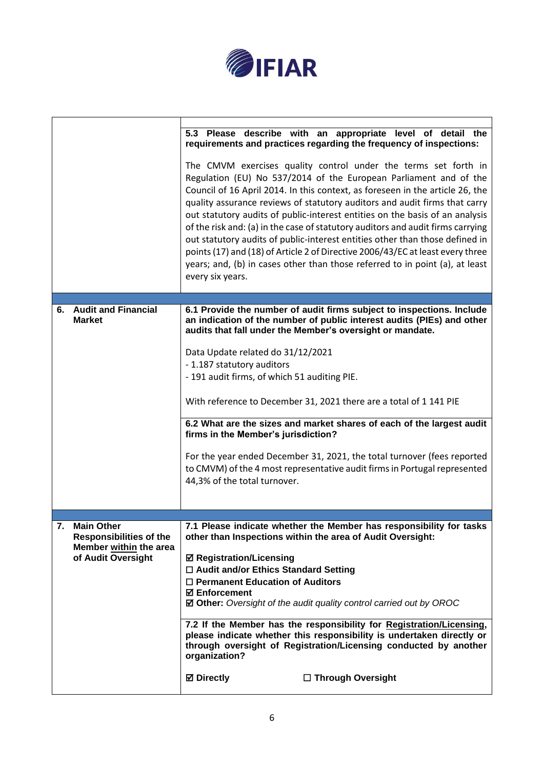

|                                                                                                           | 5.3 Please describe with an appropriate level of detail the<br>requirements and practices regarding the frequency of inspections:<br>The CMVM exercises quality control under the terms set forth in<br>Regulation (EU) No 537/2014 of the European Parliament and of the<br>Council of 16 April 2014. In this context, as foreseen in the article 26, the<br>quality assurance reviews of statutory auditors and audit firms that carry<br>out statutory audits of public-interest entities on the basis of an analysis<br>of the risk and: (a) in the case of statutory auditors and audit firms carrying<br>out statutory audits of public-interest entities other than those defined in<br>points (17) and (18) of Article 2 of Directive 2006/43/EC at least every three<br>years; and, (b) in cases other than those referred to in point (a), at least<br>every six years. |
|-----------------------------------------------------------------------------------------------------------|-----------------------------------------------------------------------------------------------------------------------------------------------------------------------------------------------------------------------------------------------------------------------------------------------------------------------------------------------------------------------------------------------------------------------------------------------------------------------------------------------------------------------------------------------------------------------------------------------------------------------------------------------------------------------------------------------------------------------------------------------------------------------------------------------------------------------------------------------------------------------------------|
|                                                                                                           |                                                                                                                                                                                                                                                                                                                                                                                                                                                                                                                                                                                                                                                                                                                                                                                                                                                                                   |
| <b>Audit and Financial</b><br>6.<br><b>Market</b>                                                         | 6.1 Provide the number of audit firms subject to inspections. Include<br>an indication of the number of public interest audits (PIEs) and other<br>audits that fall under the Member's oversight or mandate.<br>Data Update related do 31/12/2021<br>- 1.187 statutory auditors<br>- 191 audit firms, of which 51 auditing PIE.<br>With reference to December 31, 2021 there are a total of 1 141 PIE<br>6.2 What are the sizes and market shares of each of the largest audit<br>firms in the Member's jurisdiction?<br>For the year ended December 31, 2021, the total turnover (fees reported<br>to CMVM) of the 4 most representative audit firms in Portugal represented<br>44,3% of the total turnover.                                                                                                                                                                     |
|                                                                                                           |                                                                                                                                                                                                                                                                                                                                                                                                                                                                                                                                                                                                                                                                                                                                                                                                                                                                                   |
| 7.<br><b>Main Other</b><br><b>Responsibilities of the</b><br>Member within the area<br>of Audit Oversight | 7.1 Please indicate whether the Member has responsibility for tasks<br>other than Inspections within the area of Audit Oversight:<br><b>Ø Registration/Licensing</b><br>□ Audit and/or Ethics Standard Setting<br>$\Box$ Permanent Education of Auditors<br><b>☑ Enforcement</b><br>☑ Other: Oversight of the audit quality control carried out by OROC<br>7.2 If the Member has the responsibility for Registration/Licensing,<br>please indicate whether this responsibility is undertaken directly or<br>through oversight of Registration/Licensing conducted by another<br>organization?<br><b>⊠</b> Directly<br>□ Through Oversight                                                                                                                                                                                                                                         |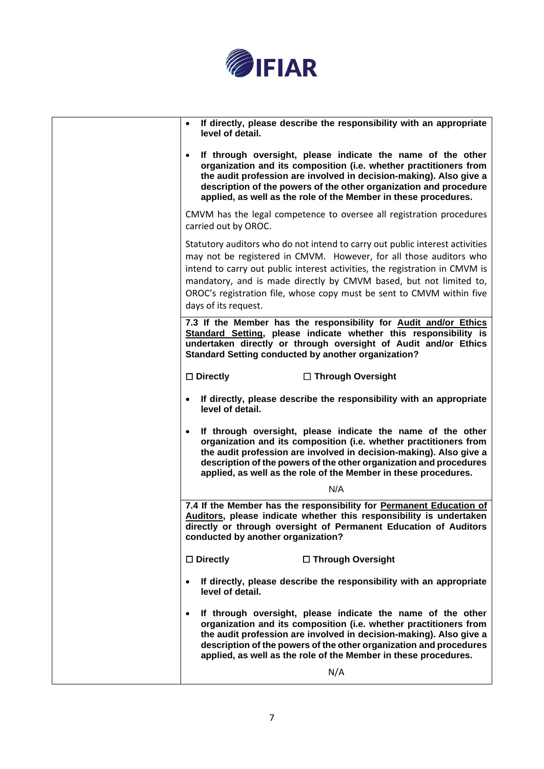

| If directly, please describe the responsibility with an appropriate<br>level of detail.                                                                                                                                                                                                                                                                                                                  |
|----------------------------------------------------------------------------------------------------------------------------------------------------------------------------------------------------------------------------------------------------------------------------------------------------------------------------------------------------------------------------------------------------------|
| If through oversight, please indicate the name of the other<br>organization and its composition (i.e. whether practitioners from<br>the audit profession are involved in decision-making). Also give a<br>description of the powers of the other organization and procedure<br>applied, as well as the role of the Member in these procedures.                                                           |
| CMVM has the legal competence to oversee all registration procedures<br>carried out by OROC.                                                                                                                                                                                                                                                                                                             |
| Statutory auditors who do not intend to carry out public interest activities<br>may not be registered in CMVM. However, for all those auditors who<br>intend to carry out public interest activities, the registration in CMVM is<br>mandatory, and is made directly by CMVM based, but not limited to,<br>OROC's registration file, whose copy must be sent to CMVM within five<br>days of its request. |
| 7.3 If the Member has the responsibility for Audit and/or Ethics                                                                                                                                                                                                                                                                                                                                         |
| Standard Setting, please indicate whether this responsibility is<br>undertaken directly or through oversight of Audit and/or Ethics<br><b>Standard Setting conducted by another organization?</b>                                                                                                                                                                                                        |
| $\Box$ Directly<br>□ Through Oversight                                                                                                                                                                                                                                                                                                                                                                   |
| If directly, please describe the responsibility with an appropriate<br>$\bullet$<br>level of detail.                                                                                                                                                                                                                                                                                                     |
| If through oversight, please indicate the name of the other<br>organization and its composition (i.e. whether practitioners from<br>the audit profession are involved in decision-making). Also give a<br>description of the powers of the other organization and procedures<br>applied, as well as the role of the Member in these procedures.                                                          |
| N/A                                                                                                                                                                                                                                                                                                                                                                                                      |
| 7.4 If the Member has the responsibility for Permanent Education of<br>Auditors, please indicate whether this responsibility is undertaken<br>directly or through oversight of Permanent Education of Auditors<br>conducted by another organization?                                                                                                                                                     |
| $\Box$ Directly<br>□ Through Oversight                                                                                                                                                                                                                                                                                                                                                                   |
| If directly, please describe the responsibility with an appropriate<br>$\bullet$<br>level of detail.                                                                                                                                                                                                                                                                                                     |
| If through oversight, please indicate the name of the other<br>organization and its composition (i.e. whether practitioners from<br>the audit profession are involved in decision-making). Also give a<br>description of the powers of the other organization and procedures<br>applied, as well as the role of the Member in these procedures.                                                          |
| N/A                                                                                                                                                                                                                                                                                                                                                                                                      |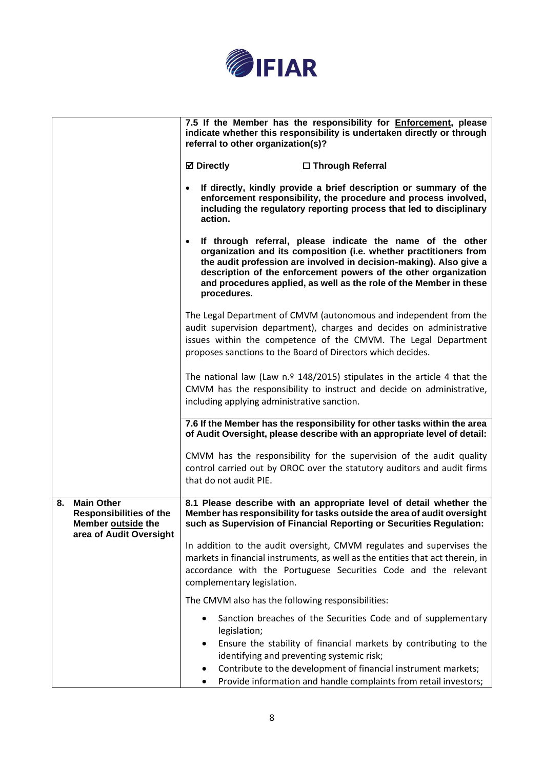

|    |                                                                                                      | 7.5 If the Member has the responsibility for <b>Enforcement</b> , please<br>indicate whether this responsibility is undertaken directly or through<br>referral to other organization(s)?                                                                                                                                                                      |
|----|------------------------------------------------------------------------------------------------------|---------------------------------------------------------------------------------------------------------------------------------------------------------------------------------------------------------------------------------------------------------------------------------------------------------------------------------------------------------------|
|    |                                                                                                      | <b>Ø</b> Directly<br>□ Through Referral                                                                                                                                                                                                                                                                                                                       |
|    |                                                                                                      | If directly, kindly provide a brief description or summary of the<br>enforcement responsibility, the procedure and process involved,<br>including the regulatory reporting process that led to disciplinary<br>action.                                                                                                                                        |
|    |                                                                                                      | If through referral, please indicate the name of the other<br>organization and its composition (i.e. whether practitioners from<br>the audit profession are involved in decision-making). Also give a<br>description of the enforcement powers of the other organization<br>and procedures applied, as well as the role of the Member in these<br>procedures. |
|    |                                                                                                      | The Legal Department of CMVM (autonomous and independent from the<br>audit supervision department), charges and decides on administrative<br>issues within the competence of the CMVM. The Legal Department<br>proposes sanctions to the Board of Directors which decides.                                                                                    |
|    |                                                                                                      | The national law (Law $n.9$ 148/2015) stipulates in the article 4 that the<br>CMVM has the responsibility to instruct and decide on administrative,<br>including applying administrative sanction.                                                                                                                                                            |
|    |                                                                                                      | 7.6 If the Member has the responsibility for other tasks within the area<br>of Audit Oversight, please describe with an appropriate level of detail:                                                                                                                                                                                                          |
|    |                                                                                                      | CMVM has the responsibility for the supervision of the audit quality<br>control carried out by OROC over the statutory auditors and audit firms<br>that do not audit PIE.                                                                                                                                                                                     |
| 8. | <b>Main Other</b><br><b>Responsibilities of the</b><br>Member outside the<br>area of Audit Oversight | 8.1 Please describe with an appropriate level of detail whether the<br>Member has responsibility for tasks outside the area of audit oversight<br>such as Supervision of Financial Reporting or Securities Regulation:                                                                                                                                        |
|    |                                                                                                      | In addition to the audit oversight, CMVM regulates and supervises the<br>markets in financial instruments, as well as the entities that act therein, in<br>accordance with the Portuguese Securities Code and the relevant<br>complementary legislation.                                                                                                      |
|    |                                                                                                      | The CMVM also has the following responsibilities:                                                                                                                                                                                                                                                                                                             |
|    |                                                                                                      | Sanction breaches of the Securities Code and of supplementary<br>legislation;<br>Ensure the stability of financial markets by contributing to the<br>identifying and preventing systemic risk;<br>Contribute to the development of financial instrument markets;<br>Provide information and handle complaints from retail investors;                          |